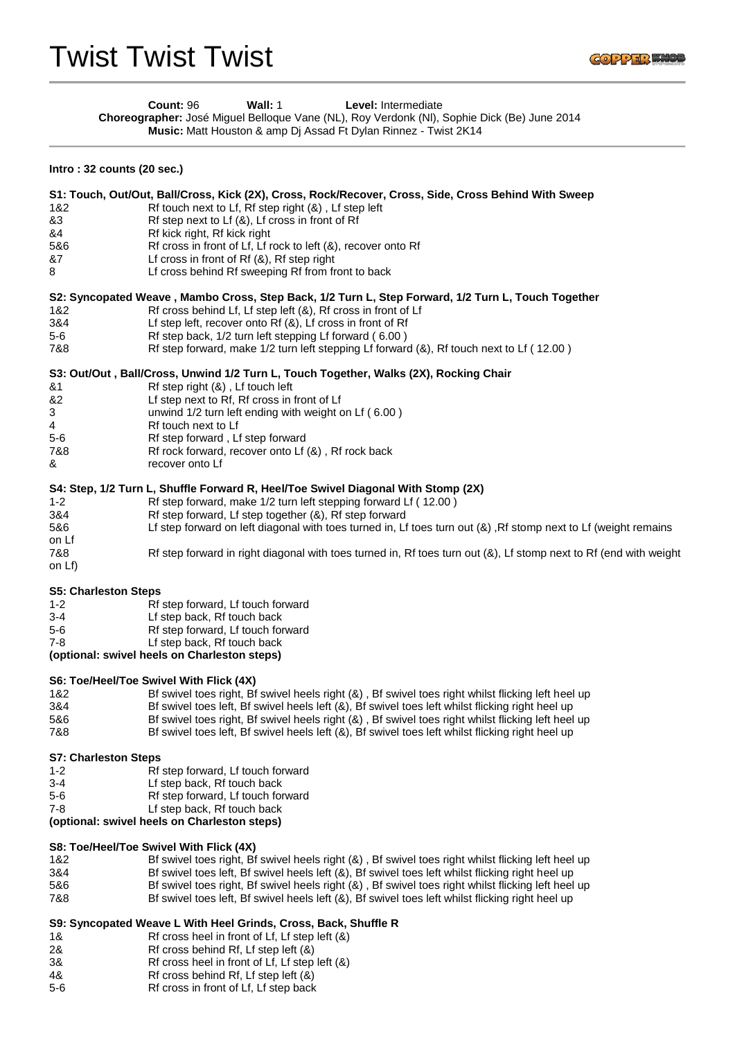|                                         | Count: 96<br>Wall: 1<br>Level: Intermediate<br>Choreographer: José Miguel Belloque Vane (NL), Roy Verdonk (NI), Sophie Dick (Be) June 2014<br>Music: Matt Houston & amp Dj Assad Ft Dylan Rinnez - Twist 2K14 |
|-----------------------------------------|---------------------------------------------------------------------------------------------------------------------------------------------------------------------------------------------------------------|
| Intro: 32 counts (20 sec.)              |                                                                                                                                                                                                               |
|                                         | S1: Touch, Out/Out, Ball/Cross, Kick (2X), Cross, Rock/Recover, Cross, Side, Cross Behind With Sweep                                                                                                          |
| 1&2                                     | Rf touch next to Lf, Rf step right (&), Lf step left                                                                                                                                                          |
| &3                                      | Rf step next to Lf (&), Lf cross in front of Rf                                                                                                                                                               |
| &4                                      | Rf kick right, Rf kick right                                                                                                                                                                                  |
| 5&6                                     | Rf cross in front of Lf, Lf rock to left (&), recover onto Rf                                                                                                                                                 |
| &7<br>8                                 | Lf cross in front of $Rf(8)$ , Rf step right<br>Lf cross behind Rf sweeping Rf from front to back                                                                                                             |
|                                         | S2: Syncopated Weave, Mambo Cross, Step Back, 1/2 Turn L, Step Forward, 1/2 Turn L, Touch Together                                                                                                            |
| 1&2                                     | Rf cross behind Lf, Lf step left (&), Rf cross in front of Lf                                                                                                                                                 |
| 3&4<br>$5-6$                            | Lf step left, recover onto Rf (&), Lf cross in front of Rf                                                                                                                                                    |
| 7&8                                     | Rf step back, 1/2 turn left stepping Lf forward (6.00)<br>Rf step forward, make 1/2 turn left stepping Lf forward (&), Rf touch next to Lf (12.00)                                                            |
|                                         |                                                                                                                                                                                                               |
| &1                                      | S3: Out/Out, Ball/Cross, Unwind 1/2 Turn L, Touch Together, Walks (2X), Rocking Chair<br>Rf step right (&), Lf touch left                                                                                     |
| &2                                      | Lf step next to Rf, Rf cross in front of Lf                                                                                                                                                                   |
| 3                                       | unwind 1/2 turn left ending with weight on Lf (6.00)                                                                                                                                                          |
| 4                                       | Rf touch next to Lf                                                                                                                                                                                           |
| $5-6$                                   | Rf step forward, Lf step forward                                                                                                                                                                              |
| 7&8                                     | Rf rock forward, recover onto Lf (&), Rf rock back                                                                                                                                                            |
| &                                       | recover onto Lf                                                                                                                                                                                               |
|                                         | S4: Step, 1/2 Turn L, Shuffle Forward R, Heel/Toe Swivel Diagonal With Stomp (2X)                                                                                                                             |
| $1 - 2$                                 | Rf step forward, make 1/2 turn left stepping forward Lf (12.00)                                                                                                                                               |
| 3&4                                     | Rf step forward, Lf step together (&), Rf step forward                                                                                                                                                        |
| 5&6                                     | Lf step forward on left diagonal with toes turned in, Lf toes turn out (&), Rf stomp next to Lf (weight remains                                                                                               |
| on Lf                                   |                                                                                                                                                                                                               |
| 7&8<br>on Lf)                           | Rf step forward in right diagonal with toes turned in, Rf toes turn out (&), Lf stomp next to Rf (end with weight                                                                                             |
|                                         |                                                                                                                                                                                                               |
|                                         | <b>S5: Charleston Steps</b>                                                                                                                                                                                   |
| $1 - 2$                                 | Rf step forward, Lf touch forward                                                                                                                                                                             |
| 3-4                                     | Lf step back, Rf touch back                                                                                                                                                                                   |
| $5-6$<br>$7 - 8$                        | Rf step forward, Lf touch forward                                                                                                                                                                             |
|                                         | Lf step back, Rf touch back<br>(optional: swivel heels on Charleston steps)                                                                                                                                   |
| S6: Toe/Heel/Toe Swivel With Flick (4X) |                                                                                                                                                                                                               |
| 1&2                                     | Bf swivel toes right, Bf swivel heels right (&), Bf swivel toes right whilst flicking left heel up                                                                                                            |
| 3&4                                     | Bf swivel toes left, Bf swivel heels left (&), Bf swivel toes left whilst flicking right heel up                                                                                                              |
| 5&6                                     | Bf swivel toes right, Bf swivel heels right (&), Bf swivel toes right whilst flicking left heel up                                                                                                            |
| 7&8                                     | Bf swivel toes left, Bf swivel heels left (&), Bf swivel toes left whilst flicking right heel up                                                                                                              |
|                                         | <b>S7: Charleston Steps</b>                                                                                                                                                                                   |
| $1 - 2$                                 | Rf step forward, Lf touch forward                                                                                                                                                                             |
| $3 - 4$                                 | Lf step back, Rf touch back                                                                                                                                                                                   |
| $5-6$                                   | Rf step forward, Lf touch forward                                                                                                                                                                             |
| $7 - 8$                                 | Lf step back, Rf touch back                                                                                                                                                                                   |
|                                         | (optional: swivel heels on Charleston steps)                                                                                                                                                                  |
| S8: Toe/Heel/Toe Swivel With Flick (4X) |                                                                                                                                                                                                               |
| 1&2                                     | Bf swivel toes right, Bf swivel heels right (&), Bf swivel toes right whilst flicking left heel up                                                                                                            |
| 3&4                                     | Bf swivel toes left, Bf swivel heels left (&), Bf swivel toes left whilst flicking right heel up                                                                                                              |
| 5&6                                     | Bf swivel toes right, Bf swivel heels right (&), Bf swivel toes right whilst flicking left heel up                                                                                                            |
| 7&8                                     | Bf swivel toes left, Bf swivel heels left (&), Bf swivel toes left whilst flicking right heel up                                                                                                              |
|                                         |                                                                                                                                                                                                               |
|                                         | S9: Syncopated Weave L With Heel Grinds, Cross, Back, Shuffle R                                                                                                                                               |
| 1&<br>2&                                | Rf cross heel in front of Lf, Lf step left (&)<br>Rf cross behind Rf, Lf step left (&)                                                                                                                        |
| 3&                                      | Rf cross heel in front of Lf, Lf step left (&)                                                                                                                                                                |
|                                         |                                                                                                                                                                                                               |

- 4& Rf cross behind Rf, Lf step left (&)
- 5-6 Rf cross in front of Lf, Lf step back